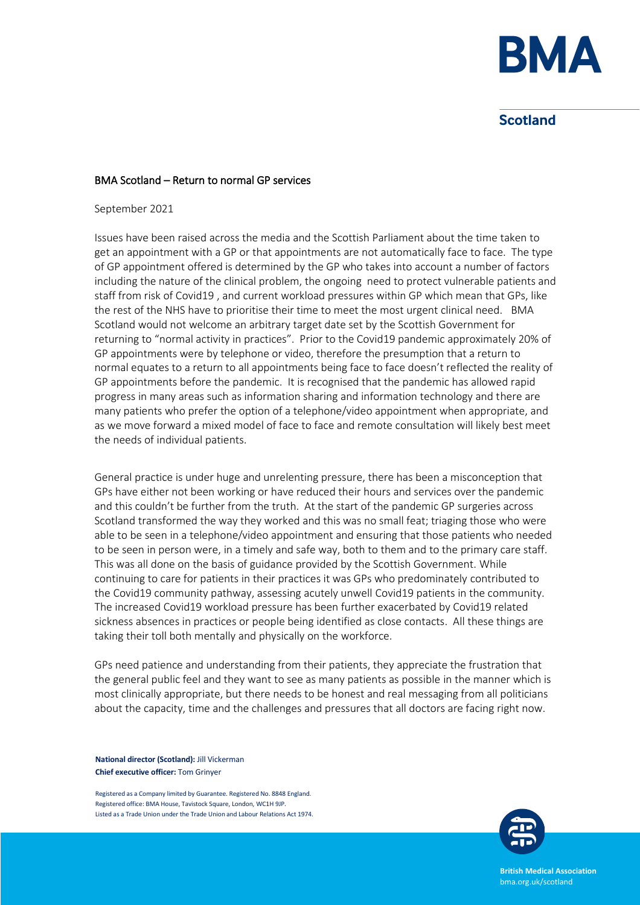

# **Scotland**

#### BMA Scotland – Return to normal GP services

September 2021

Issues have been raised across the media and the Scottish Parliament about the time taken to get an appointment with a GP or that appointments are not automatically face to face. The type of GP appointment offered is determined by the GP who takes into account a number of factors including the nature of the clinical problem, the ongoing need to protect vulnerable patients and staff from risk of Covid19 , and current workload pressures within GP which mean that GPs, like the rest of the NHS have to prioritise their time to meet the most urgent clinical need. BMA Scotland would not welcome an arbitrary target date set by the Scottish Government for returning to "normal activity in practices". Prior to the Covid19 pandemic approximately 20% of GP appointments were by telephone or video, therefore the presumption that a return to normal equates to a return to all appointments being face to face doesn't reflected the reality of GP appointments before the pandemic. It is recognised that the pandemic has allowed rapid progress in many areas such as information sharing and information technology and there are many patients who prefer the option of a telephone/video appointment when appropriate, and as we move forward a mixed model of face to face and remote consultation will likely best meet the needs of individual patients.

General practice is under huge and unrelenting pressure, there has been a misconception that GPs have either not been working or have reduced their hours and services over the pandemic and this couldn't be further from the truth. At the start of the pandemic GP surgeries across Scotland transformed the way they worked and this was no small feat; triaging those who were able to be seen in a telephone/video appointment and ensuring that those patients who needed to be seen in person were, in a timely and safe way, both to them and to the primary care staff. This was all done on the basis of guidance provided by the Scottish Government. While continuing to care for patients in their practices it was GPs who predominately contributed to the Covid19 community pathway, assessing acutely unwell Covid19 patients in the community. The increased Covid19 workload pressure has been further exacerbated by Covid19 related sickness absences in practices or people being identified as close contacts. All these things are taking their toll both mentally and physically on the workforce.

GPs need patience and understanding from their patients, they appreciate the frustration that the general public feel and they want to see as many patients as possible in the manner which is most clinically appropriate, but there needs to be honest and real messaging from all politicians about the capacity, time and the challenges and pressures that all doctors are facing right now.

**National director (Scotland):** Jill Vickerman **Chief executive officer:** Tom Grinyer

Registered as a Company limited by Guarantee. Registered No. 8848 England. Registered office: BMA House, Tavistock Square, London, WC1H 9JP. Listed as a Trade Union under the Trade Union and Labour Relations Act 1974.



**British Medical Association** bma.org.uk/scotland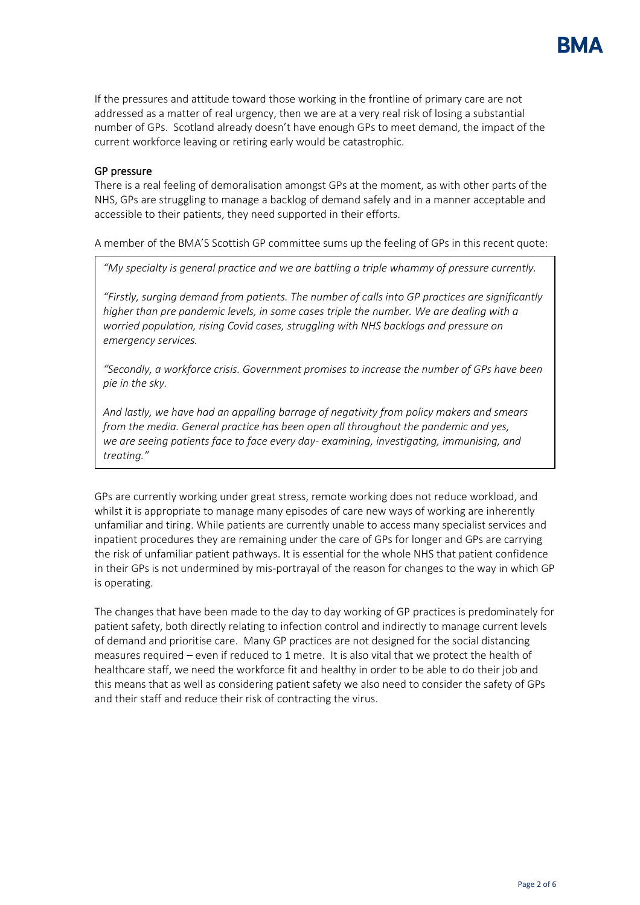

If the pressures and attitude toward those working in the frontline of primary care are not addressed as a matter of real urgency, then we are at a very real risk of losing a substantial number of GPs. Scotland already doesn't have enough GPs to meet demand, the impact of the current workforce leaving or retiring early would be catastrophic.

#### GP pressure

There is a real feeling of demoralisation amongst GPs at the moment, as with other parts of the NHS, GPs are struggling to manage a backlog of demand safely and in a manner acceptable and accessible to their patients, they need supported in their efforts.

A member of the BMA'S Scottish GP committee sums up the feeling of GPs in this recent quote:

*"My specialty is general practice and we are battling a triple whammy of pressure currently.*

*"Firstly, surging demand from patients. The number of calls into GP practices are significantly higher than pre pandemic levels, in some cases triple the number. We are dealing with a worried population, rising Covid cases, struggling with NHS backlogs and pressure on emergency services.*

*"Secondly, a workforce crisis. Government promises to increase the number of GPs have been pie in the sky.* 

*And lastly, we have had an appalling barrage of negativity from policy makers and smears from the media. General practice has been open all throughout the pandemic and yes, we are seeing patients face to face every day- examining, investigating, immunising, and treating."*

GPs are currently working under great stress, remote working does not reduce workload, and whilst it is appropriate to manage many episodes of care new ways of working are inherently unfamiliar and tiring. While patients are currently unable to access many specialist services and inpatient procedures they are remaining under the care of GPs for longer and GPs are carrying the risk of unfamiliar patient pathways. It is essential for the whole NHS that patient confidence in their GPs is not undermined by mis-portrayal of the reason for changes to the way in which GP is operating.

The changes that have been made to the day to day working of GP practices is predominately for patient safety, both directly relating to infection control and indirectly to manage current levels of demand and prioritise care. Many GP practices are not designed for the social distancing measures required – even if reduced to 1 metre. It is also vital that we protect the health of healthcare staff, we need the workforce fit and healthy in order to be able to do their job and this means that as well as considering patient safety we also need to consider the safety of GPs and their staff and reduce their risk of contracting the virus.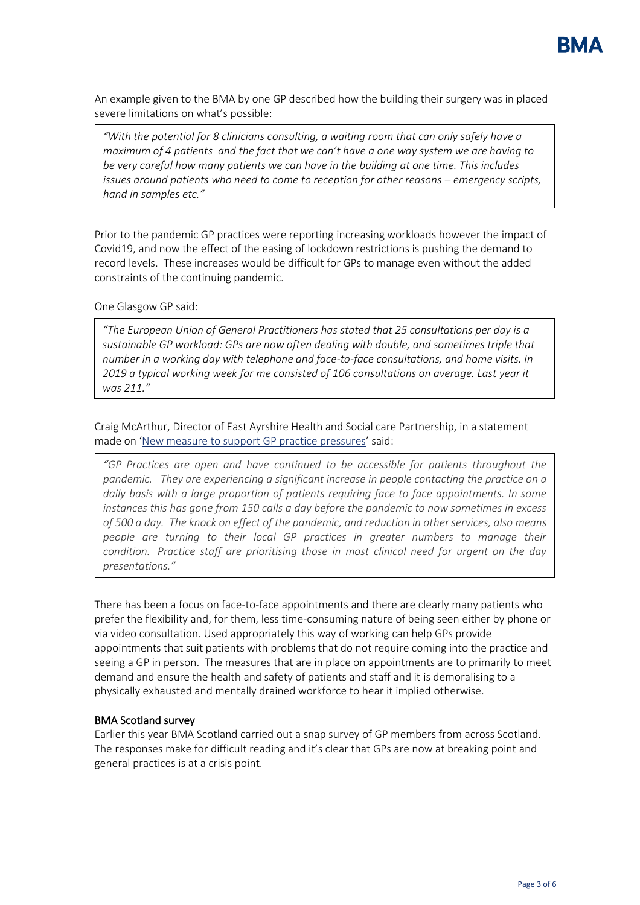

An example given to the BMA by one GP described how the building their surgery was in placed severe limitations on what's possible:

*"With the potential for 8 clinicians consulting, a waiting room that can only safely have a maximum of 4 patients and the fact that we can't have a one way system we are having to be very careful how many patients we can have in the building at one time. This includes issues around patients who need to come to reception for other reasons – emergency scripts, hand in samples etc."*

Prior to the pandemic GP practices were reporting increasing workloads however the impact of Covid19, and now the effect of the easing of lockdown restrictions is pushing the demand to record levels. These increases would be difficult for GPs to manage even without the added constraints of the continuing pandemic.

One Glasgow GP said:

*"The European Union of General Practitioners has stated that 25 consultations per day is a sustainable GP workload: GPs are now often dealing with double, and sometimes triple that number in a working day with telephone and face-to-face consultations, and home visits. In 2019 a typical working week for me consisted of 106 consultations on average. Last year it was 211."*

Craig McArthur, Director of East Ayrshire Health and Social care Partnership, in a statement made on '[New measure to support GP practice pressures](https://www.nhsaaa.net/news/latest-news/new-measures-to-support-gp-practice-pressures/)' said:

*"GP Practices are open and have continued to be accessible for patients throughout the pandemic. They are experiencing a significant increase in people contacting the practice on a daily basis with a large proportion of patients requiring face to face appointments. In some instances this has gone from 150 calls a day before the pandemic to now sometimes in excess of 500 a day. The knock on effect of the pandemic, and reduction in other services, also means people are turning to their local GP practices in greater numbers to manage their condition. Practice staff are prioritising those in most clinical need for urgent on the day presentations."*

There has been a focus on face-to-face appointments and there are clearly many patients who prefer the flexibility and, for them, less time-consuming nature of being seen either by phone or via video consultation. Used appropriately this way of working can help GPs provide appointments that suit patients with problems that do not require coming into the practice and seeing a GP in person. The measures that are in place on appointments are to primarily to meet demand and ensure the health and safety of patients and staff and it is demoralising to a physically exhausted and mentally drained workforce to hear it implied otherwise.

#### BMA Scotland survey

Earlier this year BMA Scotland carried out a snap survey of GP members from across Scotland. The responses make for difficult reading and it's clear that GPs are now at breaking point and general practices is at a crisis point.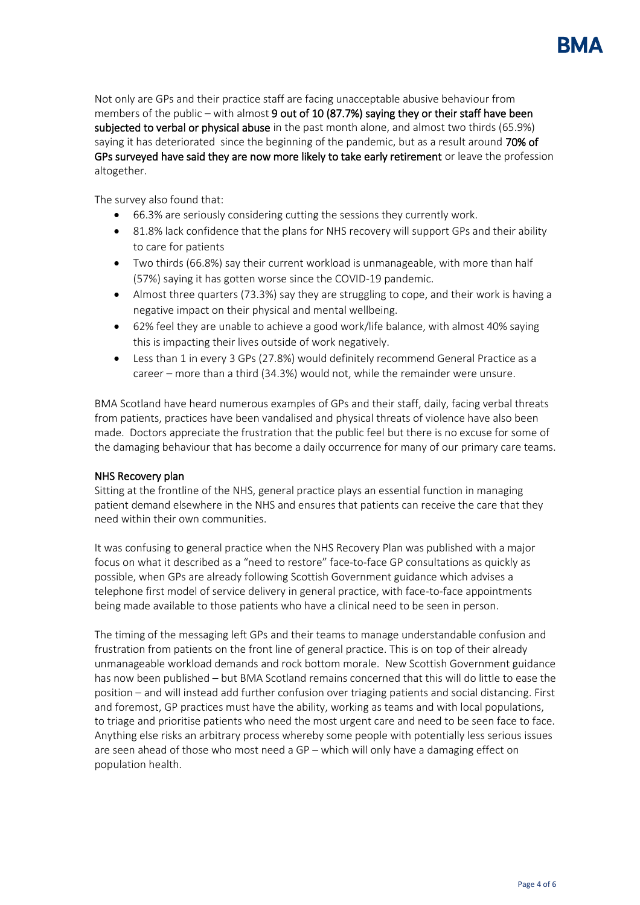Not only are GPs and their practice staff are facing unacceptable abusive behaviour from members of the public – with almost 9 out of 10 (87.7%) saying they or their staff have been subjected to verbal or physical abuse in the past month alone, and almost two thirds (65.9%) saying it has deteriorated since the beginning of the pandemic, but as a result around 70% of GPs surveyed have said they are now more likely to take early retirement or leave the profession altogether.

The survey also found that:

- 66.3% are seriously considering cutting the sessions they currently work.
- 81.8% lack confidence that the plans for NHS recovery will support GPs and their ability to care for patients
- Two thirds (66.8%) say their current workload is unmanageable, with more than half (57%) saying it has gotten worse since the COVID-19 pandemic.
- Almost three quarters (73.3%) say they are struggling to cope, and their work is having a negative impact on their physical and mental wellbeing.
- 62% feel they are unable to achieve a good work/life balance, with almost 40% saying this is impacting their lives outside of work negatively.
- Less than 1 in every 3 GPs (27.8%) would definitely recommend General Practice as a career – more than a third (34.3%) would not, while the remainder were unsure.

BMA Scotland have heard numerous examples of GPs and their staff, daily, facing verbal threats from patients, practices have been vandalised and physical threats of violence have also been made. Doctors appreciate the frustration that the public feel but there is no excuse for some of the damaging behaviour that has become a daily occurrence for many of our primary care teams.

#### NHS Recovery plan

Sitting at the frontline of the NHS, general practice plays an essential function in managing patient demand elsewhere in the NHS and ensures that patients can receive the care that they need within their own communities.

It was confusing to general practice when the NHS Recovery Plan was published with a major focus on what it described as a "need to restore" face-to-face GP consultations as quickly as possible, when GPs are already following Scottish Government guidance which advises a telephone first model of service delivery in general practice, with face-to-face appointments being made available to those patients who have a clinical need to be seen in person.

The timing of the messaging left GPs and their teams to manage understandable confusion and frustration from patients on the front line of general practice. This is on top of their already unmanageable workload demands and rock bottom morale. New Scottish Government guidance has now been published – but BMA Scotland remains concerned that this will do little to ease the position – and will instead add further confusion over triaging patients and social distancing. First and foremost, GP practices must have the ability, working as teams and with local populations, to triage and prioritise patients who need the most urgent care and need to be seen face to face. Anything else risks an arbitrary process whereby some people with potentially less serious issues are seen ahead of those who most need a GP – which will only have a damaging effect on population health.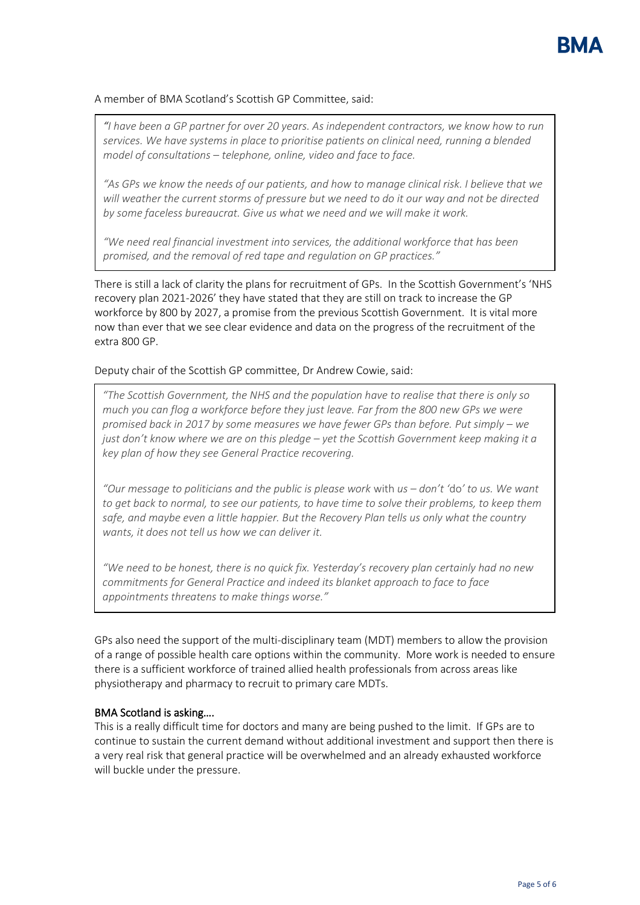### A member of BMA Scotland's Scottish GP Committee, said:

*"I have been a GP partner for over 20 years. As independent contractors, we know how to run services. We have systems in place to prioritise patients on clinical need, running a blended model of consultations – telephone, online, video and face to face.*

*"As GPs we know the needs of our patients, and how to manage clinical risk. I believe that we will weather the current storms of pressure but we need to do it our way and not be directed by some faceless bureaucrat. Give us what we need and we will make it work.*

*"We need real financial investment into services, the additional workforce that has been promised, and the removal of red tape and regulation on GP practices."*

There is still a lack of clarity the plans for recruitment of GPs. In the Scottish Government's 'NHS recovery plan 2021-2026' they have stated that they are still on track to increase the GP workforce by 800 by 2027, a promise from the previous Scottish Government. It is vital more now than ever that we see clear evidence and data on the progress of the recruitment of the extra 800 GP.

#### Deputy chair of the Scottish GP committee, Dr Andrew Cowie, said:

*"The Scottish Government, the NHS and the population have to realise that there is only so much you can flog a workforce before they just leave. Far from the 800 new GPs we were promised back in 2017 by some measures we have fewer GPs than before. Put simply – we just don't know where we are on this pledge – yet the Scottish Government keep making it a key plan of how they see General Practice recovering.*

*"Our message to politicians and the public is please work* with *us – don't '*do*' to us. We want to get back to normal, to see our patients, to have time to solve their problems, to keep them*  safe, and maybe even a little happier. But the Recovery Plan tells us only what the country *wants, it does not tell us how we can deliver it.*

*"We need to be honest, there is no quick fix. Yesterday's recovery plan certainly had no new commitments for General Practice and indeed its blanket approach to face to face appointments threatens to make things worse."*

GPs also need the support of the multi-disciplinary team (MDT) members to allow the provision of a range of possible health care options within the community. More work is needed to ensure there is a sufficient workforce of trained allied health professionals from across areas like physiotherapy and pharmacy to recruit to primary care MDTs.

### BMA Scotland is asking….

This is a really difficult time for doctors and many are being pushed to the limit. If GPs are to continue to sustain the current demand without additional investment and support then there is a very real risk that general practice will be overwhelmed and an already exhausted workforce will buckle under the pressure.